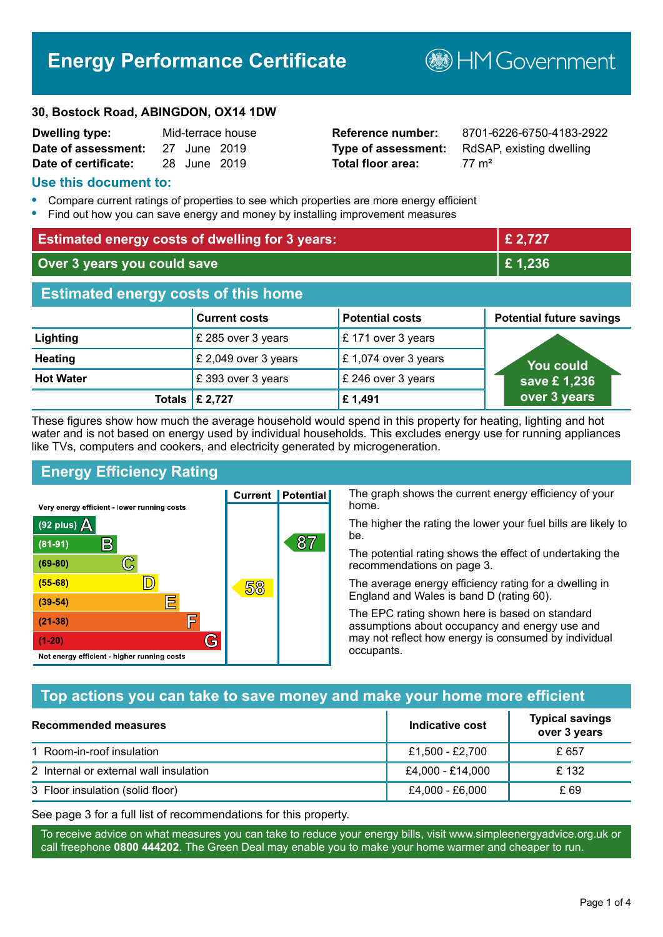# **Energy Performance Certificate**

**30, Bostock Road, ABINGDON, OX14 1DW**

| <b>Dwelling type:</b> |              | Mid-terrace house |
|-----------------------|--------------|-------------------|
| Date of assessment:   | 27 June 2019 |                   |
| Date of certificate:  | 28 June 2019 |                   |

# **Total floor area:** 77 m<sup>2</sup>

**Reference number:** 8701-6226-6750-4183-2922 **Type of assessment:** RdSAP, existing dwelling

**B**HM Government

#### **Use this document to:**

- **•** Compare current ratings of properties to see which properties are more energy efficient
- **•** Find out how you can save energy and money by installing improvement measures

| <b>Estimated energy costs of dwelling for 3 years:</b> |                      |                        | £ 2,727                         |
|--------------------------------------------------------|----------------------|------------------------|---------------------------------|
| Over 3 years you could save                            |                      |                        | £1,236                          |
| <b>Estimated energy costs of this home</b>             |                      |                        |                                 |
|                                                        | <b>Current costs</b> | <b>Potential costs</b> | <b>Potential future savings</b> |
| Lighting                                               | £ 285 over 3 years   | £171 over 3 years      |                                 |
| <b>Heating</b>                                         | £ 2,049 over 3 years | £1,074 over 3 years    | You could                       |
| <b>Hot Water</b>                                       | £393 over 3 years    | £ 246 over 3 years     | save £1,236                     |
| Totals                                                 | £ 2,727              | £1,491                 | over 3 years                    |

These figures show how much the average household would spend in this property for heating, lighting and hot water and is not based on energy used by individual households. This excludes energy use for running appliances like TVs, computers and cookers, and electricity generated by microgeneration.

**Current | Potential** 

58

87

# **Energy Efficiency Rating**

 $\mathbb{C}$ 

D)

E

庐

G

Very energy efficient - lower running costs

 $\mathsf{R}% _{T}$ 

Not energy efficient - higher running costs

(92 plus)  $\Delta$ 

 $(81 - 91)$  $(69 - 80)$ 

 $(55-68)$ 

 $(39 - 54)$ 

 $(21-38)$ 

 $(1-20)$ 

The graph shows the current energy efficiency of your home.

The higher the rating the lower your fuel bills are likely to be.

The potential rating shows the effect of undertaking the recommendations on page 3.

The average energy efficiency rating for a dwelling in England and Wales is band D (rating 60).

The EPC rating shown here is based on standard assumptions about occupancy and energy use and may not reflect how energy is consumed by individual occupants.

# **Top actions you can take to save money and make your home more efficient**

| Recommended measures                   | Indicative cost  | <b>Typical savings</b><br>over 3 years |
|----------------------------------------|------------------|----------------------------------------|
| 1 Room-in-roof insulation              | £1,500 - £2,700  | £ 657                                  |
| 2 Internal or external wall insulation | £4,000 - £14,000 | £132                                   |
| 3 Floor insulation (solid floor)       | £4,000 - £6,000  | £ 69                                   |

See page 3 for a full list of recommendations for this property.

To receive advice on what measures you can take to reduce your energy bills, visit www.simpleenergyadvice.org.uk or call freephone **0800 444202**. The Green Deal may enable you to make your home warmer and cheaper to run.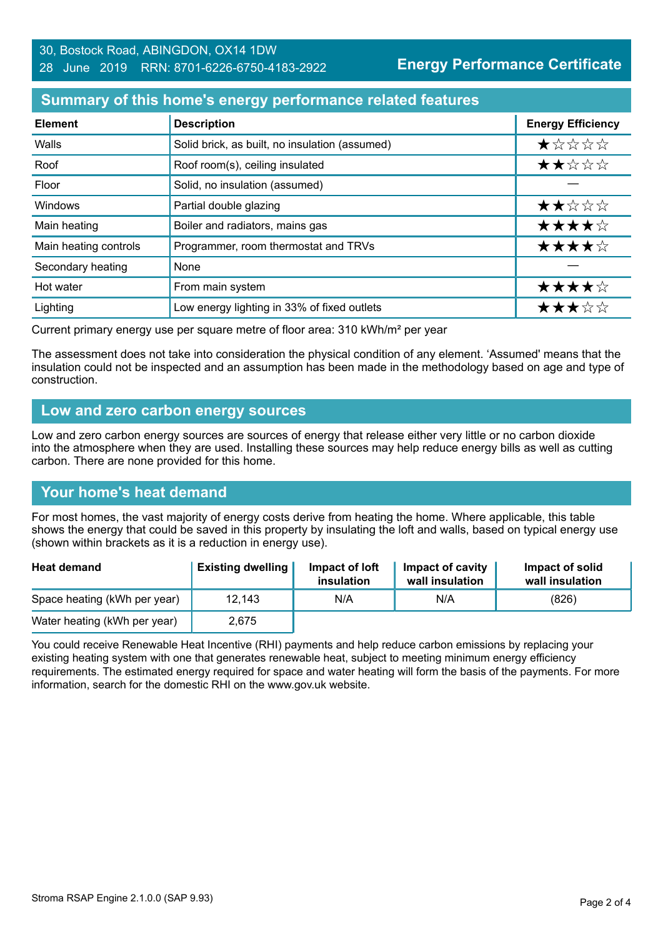#### 30, Bostock Road, ABINGDON, OX14 1DW 28 June 2019 RRN: 8701-6226-6750-4183-2922

**Energy Performance Certificate**

#### **Summary of this home's energy performance related features**

| <b>Element</b>        | <b>Description</b>                             | <b>Energy Efficiency</b> |
|-----------------------|------------------------------------------------|--------------------------|
| Walls                 | Solid brick, as built, no insulation (assumed) | $\star$ * * * *          |
| Roof                  | Roof room(s), ceiling insulated                | ★★☆☆☆                    |
| Floor                 | Solid, no insulation (assumed)                 |                          |
| Windows               | Partial double glazing                         | ★★☆☆☆                    |
| Main heating          | Boiler and radiators, mains gas                | ★★★★☆                    |
| Main heating controls | Programmer, room thermostat and TRVs           | ★★★★☆                    |
| Secondary heating     | None                                           |                          |
| Hot water             | From main system                               | ★★★★☆                    |
| Lighting              | Low energy lighting in 33% of fixed outlets    | ★★★☆☆                    |

Current primary energy use per square metre of floor area: 310 kWh/m² per year

The assessment does not take into consideration the physical condition of any element. 'Assumed' means that the insulation could not be inspected and an assumption has been made in the methodology based on age and type of construction.

#### **Low and zero carbon energy sources**

Low and zero carbon energy sources are sources of energy that release either very little or no carbon dioxide into the atmosphere when they are used. Installing these sources may help reduce energy bills as well as cutting carbon. There are none provided for this home.

#### **Your home's heat demand**

For most homes, the vast majority of energy costs derive from heating the home. Where applicable, this table shows the energy that could be saved in this property by insulating the loft and walls, based on typical energy use (shown within brackets as it is a reduction in energy use).

| <b>Heat demand</b>           | <b>Existing dwelling</b> | Impact of loft<br>insulation | Impact of cavity<br>wall insulation | Impact of solid<br>wall insulation |
|------------------------------|--------------------------|------------------------------|-------------------------------------|------------------------------------|
| Space heating (kWh per year) | 12,143                   | N/A                          | N/A                                 | (826)                              |
| Water heating (kWh per year) | 2.675                    |                              |                                     |                                    |

You could receive Renewable Heat Incentive (RHI) payments and help reduce carbon emissions by replacing your existing heating system with one that generates renewable heat, subject to meeting minimum energy efficiency requirements. The estimated energy required for space and water heating will form the basis of the payments. For more information, search for the domestic RHI on the www.gov.uk website.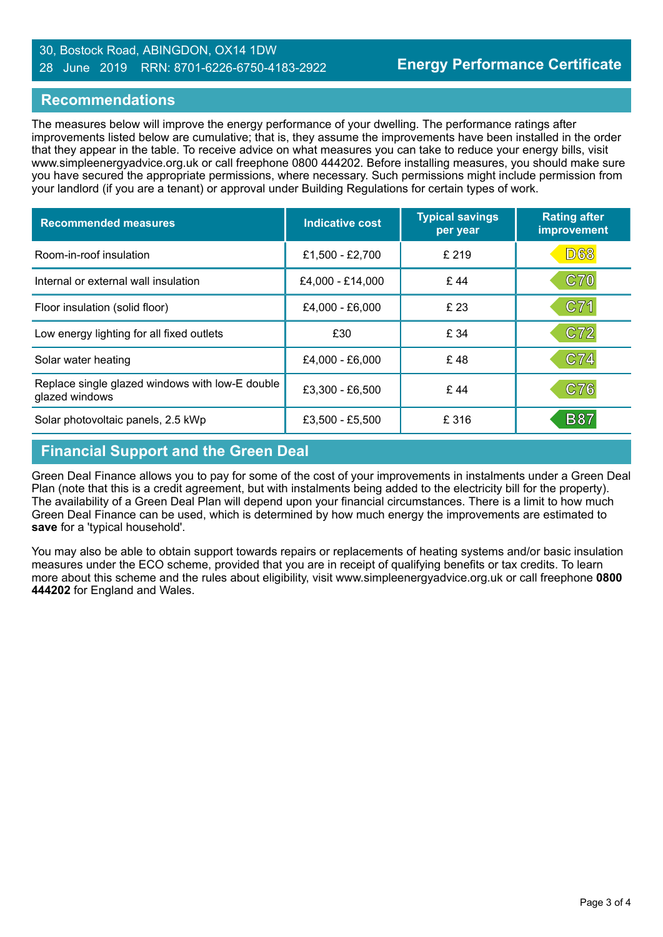#### 30, Bostock Road, ABINGDON, OX14 1DW 28 June 2019 RRN: 8701-6226-6750-4183-2922

#### **Recommendations**

The measures below will improve the energy performance of your dwelling. The performance ratings after improvements listed below are cumulative; that is, they assume the improvements have been installed in the order that they appear in the table. To receive advice on what measures you can take to reduce your energy bills, visit www.simpleenergyadvice.org.uk or call freephone 0800 444202. Before installing measures, you should make sure you have secured the appropriate permissions, where necessary. Such permissions might include permission from your landlord (if you are a tenant) or approval under Building Regulations for certain types of work.

| <b>Recommended measures</b>                                       | <b>Indicative cost</b> | <b>Typical savings</b><br>per year | <b>Rating after</b><br>improvement |
|-------------------------------------------------------------------|------------------------|------------------------------------|------------------------------------|
| Room-in-roof insulation                                           | £1,500 - £2,700        | £ 219                              | <b>D68</b>                         |
| Internal or external wall insulation                              | £4,000 - £14,000       | £44                                | C70                                |
| Floor insulation (solid floor)                                    | £4,000 - £6,000        | £23                                | C71                                |
| Low energy lighting for all fixed outlets                         | £30                    | £ 34                               | C72                                |
| Solar water heating                                               | £4,000 - £6,000        | £48                                | C74                                |
| Replace single glazed windows with low-E double<br>glazed windows | $£3,300 - £6,500$      | £44                                | C76                                |
| Solar photovoltaic panels, 2.5 kWp                                | £3,500 - £5,500        | £ 316                              | <b>B87</b>                         |

## **Financial Support and the Green Deal**

Green Deal Finance allows you to pay for some of the cost of your improvements in instalments under a Green Deal Plan (note that this is a credit agreement, but with instalments being added to the electricity bill for the property). The availability of a Green Deal Plan will depend upon your financial circumstances. There is a limit to how much Green Deal Finance can be used, which is determined by how much energy the improvements are estimated to **save** for a 'typical household'.

You may also be able to obtain support towards repairs or replacements of heating systems and/or basic insulation measures under the ECO scheme, provided that you are in receipt of qualifying benefits or tax credits. To learn more about this scheme and the rules about eligibility, visit www.simpleenergyadvice.org.uk or call freephone **0800 444202** for England and Wales.